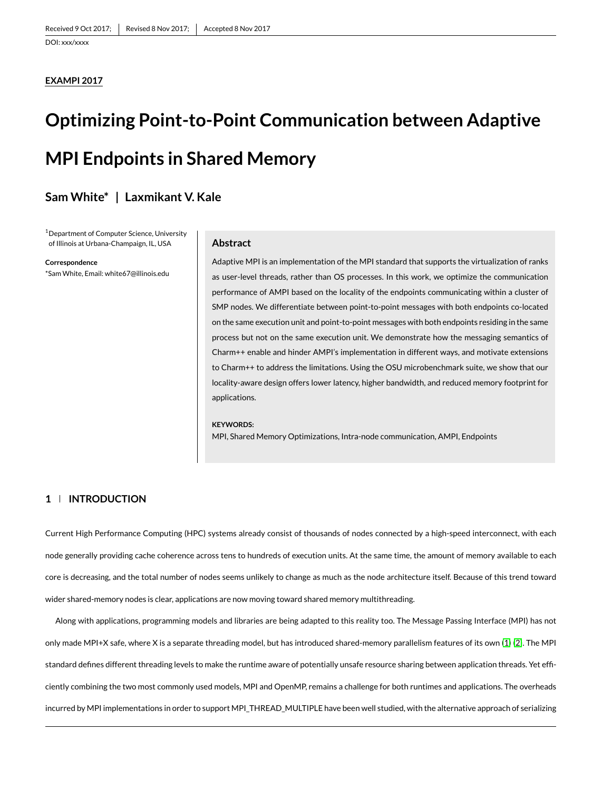DOI: xxx/xxxx

# **EXAMPI 2017**

# **Optimizing Point-to-Point Communication between Adaptive MPI Endpoints in Shared Memory**

# **Sam White\* | Laxmikant V. Kale**

<sup>1</sup> Department of Computer Science, University of Illinois at Urbana-Champaign, IL, USA

**Correspondence** \*Sam White, Email: white67@illinois.edu

### **Abstract**

Adaptive MPI is an implementation of the MPI standard that supports the virtualization of ranks as user-level threads, rather than OS processes. In this work, we optimize the communication performance of AMPI based on the locality of the endpoints communicating within a cluster of SMP nodes. We differentiate between point-to-point messages with both endpoints co-located on the same execution unit and point-to-point messages with both endpoints residing in the same process but not on the same execution unit. We demonstrate how the messaging semantics of Charm++ enable and hinder AMPI's implementation in different ways, and motivate extensions to Charm++ to address the limitations. Using the OSU microbenchmark suite, we show that our locality-aware design offers lower latency, higher bandwidth, and reduced memory footprint for applications.

#### **KEYWORDS:** MPI, Shared Memory Optimizations, Intra-node communication, AMPI, Endpoints

# **1 INTRODUCTION**

Current High Performance Computing (HPC) systems already consist of thousands of nodes connected by a high-speed interconnect, with each node generally providing cache coherence across tens to hundreds of execution units. At the same time, the amount of memory available to each core is decreasing, and the total number of nodes seems unlikely to change as much as the node architecture itself. Because of this trend toward wider shared-memory nodes is clear, applications are now moving toward shared memory multithreading.

Along with applications, programming models and libraries are being adapted to this reality too. The Message Passing Interface (MPI) has not only made MPI+X safe, where X is a separate threading model, but has introduced shared-memory parallelism features of its own [\(1\)](#page-17-0) [\(2\)](#page-17-1). The MPI standard defines different threading levels to make the runtime aware of potentially unsafe resource sharing between application threads. Yet efficiently combining the two most commonly used models, MPI and OpenMP, remains a challenge for both runtimes and applications. The overheads incurred by MPI implementations in order to support MPI\_THREAD\_MULTIPLE have been well studied, with the alternative approach of serializing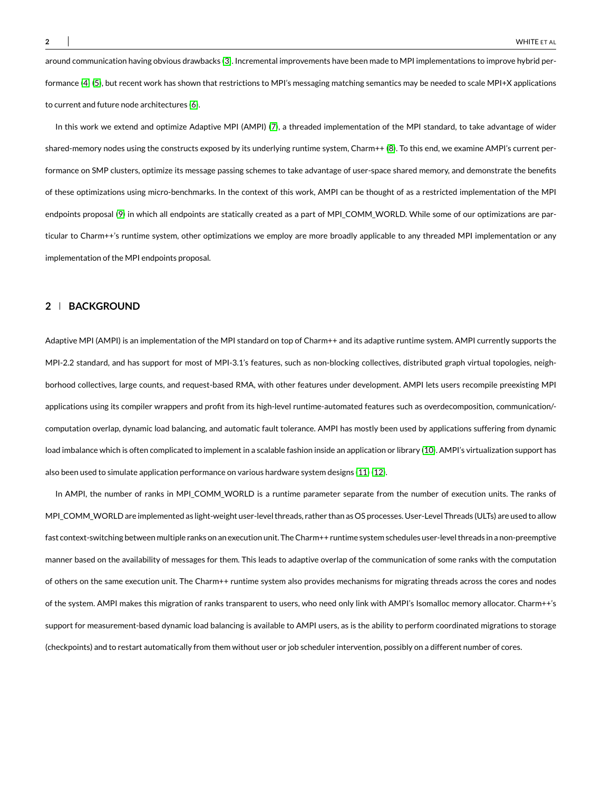around communication having obvious drawbacks [\(3\)](#page-17-2). Incremental improvements have been made to MPI implementations to improve hybrid performance [\(4\)](#page-17-3) [\(5\)](#page-17-4), but recent work has shown that restrictions to MPI's messaging matching semantics may be needed to scale MPI+X applications to current and future node architectures [\(6\)](#page-17-5).

In this work we extend and optimize Adaptive MPI (AMPI) [\(7\)](#page-17-6), a threaded implementation of the MPI standard, to take advantage of wider shared-memory nodes using the constructs exposed by its underlying runtime system, Charm++ [\(8\)](#page-17-7). To this end, we examine AMPI's current performance on SMP clusters, optimize its message passing schemes to take advantage of user-space shared memory, and demonstrate the benefits of these optimizations using micro-benchmarks. In the context of this work, AMPI can be thought of as a restricted implementation of the MPI endpoints proposal [\(9\)](#page-17-8) in which all endpoints are statically created as a part of MPI\_COMM\_WORLD. While some of our optimizations are particular to Charm++'s runtime system, other optimizations we employ are more broadly applicable to any threaded MPI implementation or any implementation of the MPI endpoints proposal.

# **2 BACKGROUND**

Adaptive MPI (AMPI) is an implementation of the MPI standard on top of Charm++ and its adaptive runtime system. AMPI currently supports the MPI-2.2 standard, and has support for most of MPI-3.1's features, such as non-blocking collectives, distributed graph virtual topologies, neighborhood collectives, large counts, and request-based RMA, with other features under development. AMPI lets users recompile preexisting MPI applications using its compiler wrappers and profit from its high-level runtime-automated features such as overdecomposition, communication/ computation overlap, dynamic load balancing, and automatic fault tolerance. AMPI has mostly been used by applications suffering from dynamic load imbalance which is often complicated to implement in a scalable fashion inside an application or library [\(10\)](#page-17-9). AMPI's virtualization support has also been used to simulate application performance on various hardware system designs [\(11\)](#page-17-10) [\(12\)](#page-17-11).

In AMPI, the number of ranks in MPI\_COMM\_WORLD is a runtime parameter separate from the number of execution units. The ranks of MPI\_COMM\_WORLD are implemented as light-weight user-level threads, rather than as OS processes. User-Level Threads (ULTs) are used to allow fast context-switching between multiple ranks on an execution unit. The Charm++ runtime system schedules user-level threads in a non-preemptive manner based on the availability of messages for them. This leads to adaptive overlap of the communication of some ranks with the computation of others on the same execution unit. The Charm++ runtime system also provides mechanisms for migrating threads across the cores and nodes of the system. AMPI makes this migration of ranks transparent to users, who need only link with AMPI's Isomalloc memory allocator. Charm++'s support for measurement-based dynamic load balancing is available to AMPI users, as is the ability to perform coordinated migrations to storage (checkpoints) and to restart automatically from them without user or job scheduler intervention, possibly on a different number of cores.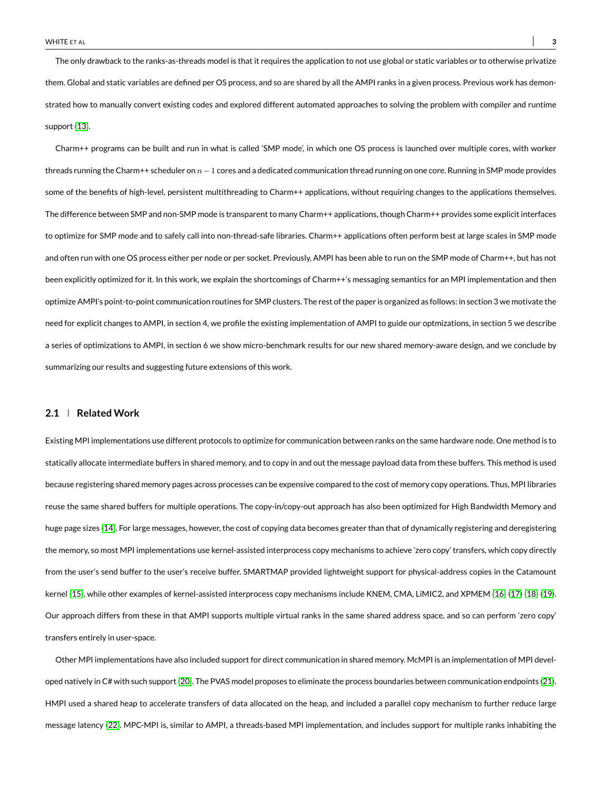The only drawback to the ranks-as-threads model is that it requires the application to not use global or static variables or to otherwise privatize them. Global and static variables are defined per OS process, and so are shared by all the AMPI ranks in a given process. Previous work has demonstrated how to manually convert existing codes and explored different automated approaches to solving the problem with compiler and runtime support [\(13\)](#page-17-12).

Charm++ programs can be built and run in what is called 'SMP mode', in which one OS process is launched over multiple cores, with worker threads running the Charm++ scheduler on  $n-1$  cores and a dedicated communication thread running on one core. Running in SMP mode provides some of the benefits of high-level, persistent multithreading to Charm++ applications, without requiring changes to the applications themselves. The difference between SMP and non-SMP mode is transparent to many Charm++ applications, though Charm++ provides some explicit interfaces to optimize for SMP mode and to safely call into non-thread-safe libraries. Charm++ applications often perform best at large scales in SMP mode and often run with one OS process either per node or per socket. Previously, AMPI has been able to run on the SMP mode of Charm++, but has not been explicitly optimized for it. In this work, we explain the shortcomings of Charm++'s messaging semantics for an MPI implementation and then optimize AMPI's point-to-point communication routines for SMP clusters. The rest of the paper is organized as follows: in section 3 we motivate the need for explicit changes to AMPI, in section 4, we profile the existing implementation of AMPI to guide our optmizations, in section 5 we describe a series of optimizations to AMPI, in section 6 we show micro-benchmark results for our new shared memory-aware design, and we conclude by summarizing our results and suggesting future extensions of this work.

#### **2.1 Related Work**

Existing MPI implementations use different protocols to optimize for communication between ranks on the same hardware node. One method is to statically allocate intermediate buffers in shared memory, and to copy in and out the message payload data from these buffers. This method is used because registering shared memory pages across processes can be expensive compared to the cost of memory copy operations. Thus, MPI libraries reuse the same shared buffers for multiple operations. The copy-in/copy-out approach has also been optimized for High Bandwidth Memory and huge page sizes [\(14\)](#page-17-13). For large messages, however, the cost of copying data becomes greater than that of dynamically registering and deregistering the memory, so most MPI implementations use kernel-assisted interprocess copy mechanisms to achieve 'zero copy' transfers, which copy directly from the user's send buffer to the user's receive buffer. SMARTMAP provided lightweight support for physical-address copies in the Catamount kernel [\(15\)](#page-17-14), while other examples of kernel-assisted interprocess copy mechanisms include KNEM, CMA, LiMIC2, and XPMEM [\(16\)](#page-17-15) [\(17\)](#page-17-16) [\(18\)](#page-17-17) [\(19\)](#page-17-18). Our approach differs from these in that AMPI supports multiple virtual ranks in the same shared address space, and so can perform 'zero copy' transfers entirely in user-space.

Other MPI implementations have also included support for direct communication in shared memory. McMPI is an implementation of MPI developed natively in C# with such support [\(20\)](#page-18-0). The PVAS model proposes to eliminate the process boundaries between communication endpoints [\(21\)](#page-18-1). HMPI used a shared heap to accelerate transfers of data allocated on the heap, and included a parallel copy mechanism to further reduce large message latency [\(22\)](#page-18-2). MPC-MPI is, similar to AMPI, a threads-based MPI implementation, and includes support for multiple ranks inhabiting the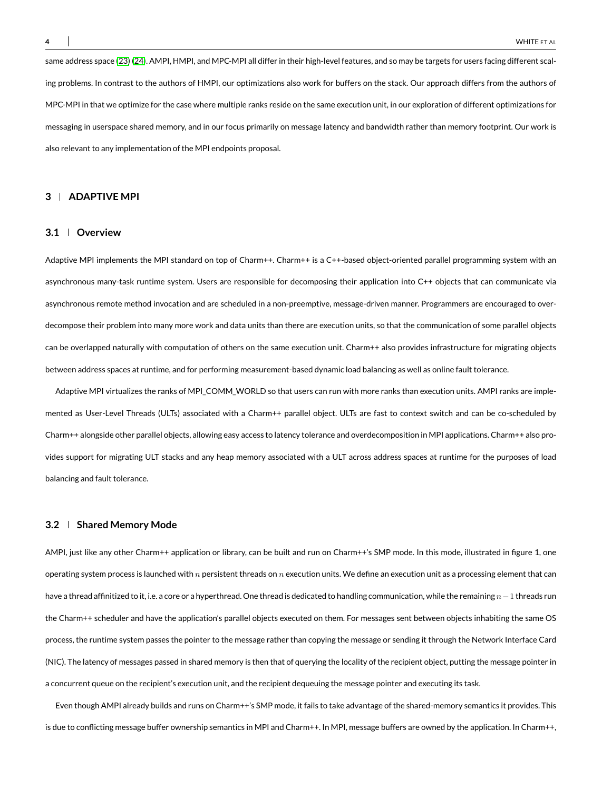same address space [\(23\)](#page-18-3) [\(24\)](#page-18-4). AMPI, HMPI, and MPC-MPI all differ in their high-level features, and so may be targets for users facing different scaling problems. In contrast to the authors of HMPI, our optimizations also work for buffers on the stack. Our approach differs from the authors of MPC-MPI in that we optimize for the case where multiple ranks reside on the same execution unit, in our exploration of different optimizations for messaging in userspace shared memory, and in our focus primarily on message latency and bandwidth rather than memory footprint. Our work is also relevant to any implementation of the MPI endpoints proposal.

#### **3 ADAPTIVE MPI**

# **3.1 Overview**

Adaptive MPI implements the MPI standard on top of Charm++. Charm++ is a C++-based object-oriented parallel programming system with an asynchronous many-task runtime system. Users are responsible for decomposing their application into C++ objects that can communicate via asynchronous remote method invocation and are scheduled in a non-preemptive, message-driven manner. Programmers are encouraged to overdecompose their problem into many more work and data units than there are execution units, so that the communication of some parallel objects can be overlapped naturally with computation of others on the same execution unit. Charm++ also provides infrastructure for migrating objects between address spaces at runtime, and for performing measurement-based dynamic load balancing as well as online fault tolerance.

Adaptive MPI virtualizes the ranks of MPI\_COMM\_WORLD so that users can run with more ranks than execution units. AMPI ranks are implemented as User-Level Threads (ULTs) associated with a Charm++ parallel object. ULTs are fast to context switch and can be co-scheduled by Charm++ alongside other parallel objects, allowing easy access to latency tolerance and overdecomposition in MPI applications. Charm++ also provides support for migrating ULT stacks and any heap memory associated with a ULT across address spaces at runtime for the purposes of load balancing and fault tolerance.

#### **3.2 Shared Memory Mode**

AMPI, just like any other Charm++ application or library, can be built and run on Charm++'s SMP mode. In this mode, illustrated in figure 1, one operating system process is launched with n persistent threads on  $n$  execution units. We define an execution unit as a processing element that can have a thread affinitized to it, i.e. a core or a hyperthread. One thread is dedicated to handling communication, while the remaining  $n-1$  threads run the Charm++ scheduler and have the application's parallel objects executed on them. For messages sent between objects inhabiting the same OS process, the runtime system passes the pointer to the message rather than copying the message or sending it through the Network Interface Card (NIC). The latency of messages passed in shared memory is then that of querying the locality of the recipient object, putting the message pointer in a concurrent queue on the recipient's execution unit, and the recipient dequeuing the message pointer and executing its task.

Even though AMPI already builds and runs on Charm++'s SMP mode, it fails to take advantage of the shared-memory semantics it provides. This is due to conflicting message buffer ownership semantics in MPI and Charm++. In MPI, message buffers are owned by the application. In Charm++,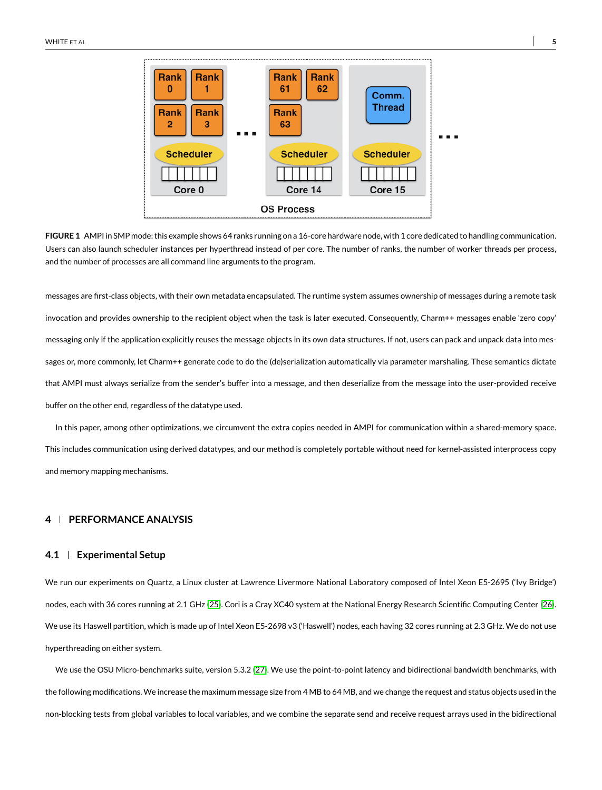

**FIGURE 1** AMPI in SMP mode: this example shows 64 ranks running on a 16-core hardware node, with 1 core dedicated to handling communication. Users can also launch scheduler instances per hyperthread instead of per core. The number of ranks, the number of worker threads per process, and the number of processes are all command line arguments to the program.

messages are first-class objects, with their own metadata encapsulated. The runtime system assumes ownership of messages during a remote task invocation and provides ownership to the recipient object when the task is later executed. Consequently, Charm++ messages enable 'zero copy' messaging only if the application explicitly reuses the message objects in its own data structures. If not, users can pack and unpack data into messages or, more commonly, let Charm++ generate code to do the (de)serialization automatically via parameter marshaling. These semantics dictate that AMPI must always serialize from the sender's buffer into a message, and then deserialize from the message into the user-provided receive buffer on the other end, regardless of the datatype used.

In this paper, among other optimizations, we circumvent the extra copies needed in AMPI for communication within a shared-memory space. This includes communication using derived datatypes, and our method is completely portable without need for kernel-assisted interprocess copy and memory mapping mechanisms.

# **4 PERFORMANCE ANALYSIS**

#### **4.1 Experimental Setup**

We run our experiments on Quartz, a Linux cluster at Lawrence Livermore National Laboratory composed of Intel Xeon E5-2695 ('Ivy Bridge') nodes, each with 36 cores running at 2.1 GHz [\(25\)](#page-18-5). Cori is a Cray XC40 system at the National Energy Research Scientific Computing Center [\(26\)](#page-18-6). We use its Haswell partition, which is made up of Intel Xeon E5-2698 v3 ('Haswell') nodes, each having 32 cores running at 2.3 GHz. We do not use hyperthreading on either system.

We use the OSU Micro-benchmarks suite, version 5.3.2 [\(27\)](#page-18-7). We use the point-to-point latency and bidirectional bandwidth benchmarks, with the following modifications. We increase the maximum message size from 4 MB to 64 MB, and we change the request and status objects used in the non-blocking tests from global variables to local variables, and we combine the separate send and receive request arrays used in the bidirectional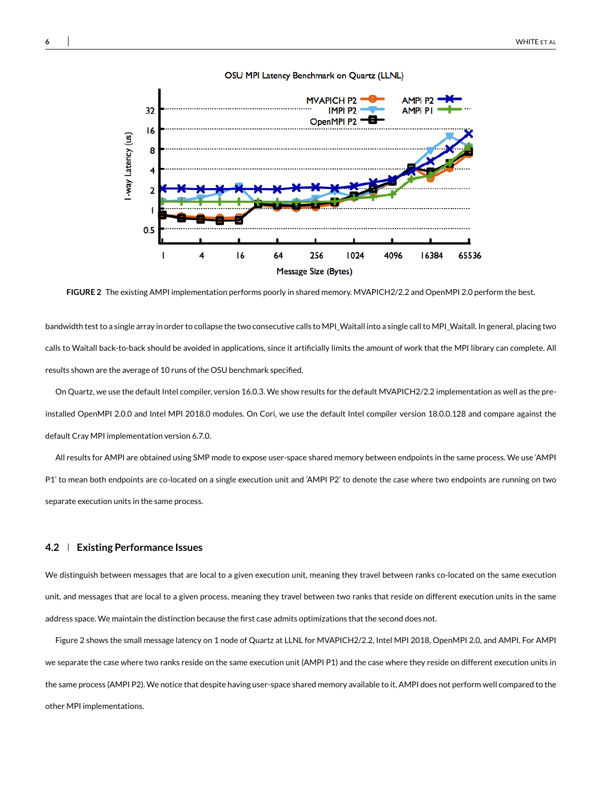

**FIGURE 2** The existing AMPI implementation performs poorly in shared memory. MVAPICH2/2.2 and OpenMPI 2.0 perform the best.

bandwidth test to a single array in order to collapse the two consecutive calls to MPI\_Waitall into a single call to MPI\_Waitall. In general, placing two calls to Waitall back-to-back should be avoided in applications, since it artificially limits the amount of work that the MPI library can complete. All results shown are the average of 10 runs of the OSU benchmark specified.

On Quartz, we use the default Intel compiler, version 16.0.3. We show results for the default MVAPICH2/2.2 implementation as well as the preinstalled OpenMPI 2.0.0 and Intel MPI 2018.0 modules. On Cori, we use the default Intel compiler version 18.0.0.128 and compare against the default Cray MPI implementation version 6.7.0.

All results for AMPI are obtained using SMP mode to expose user-space shared memory between endpoints in the same process. We use 'AMPI P1' to mean both endpoints are co-located on a single execution unit and 'AMPI P2' to denote the case where two endpoints are running on two separate execution units in the same process.

# **4.2 Existing Performance Issues**

We distinguish between messages that are local to a given execution unit, meaning they travel between ranks co-located on the same execution unit, and messages that are local to a given process, meaning they travel between two ranks that reside on different execution units in the same address space. We maintain the distinction because the first case admits optimizations that the second does not.

Figure 2 shows the small message latency on 1 node of Quartz at LLNL for MVAPICH2/2.2, Intel MPI 2018, OpenMPI 2.0, and AMPI. For AMPI we separate the case where two ranks reside on the same execution unit (AMPI P1) and the case where they reside on different execution units in the same process (AMPI P2). We notice that despite having user-space shared memory available to it, AMPI does not perform well compared to the other MPI implementations.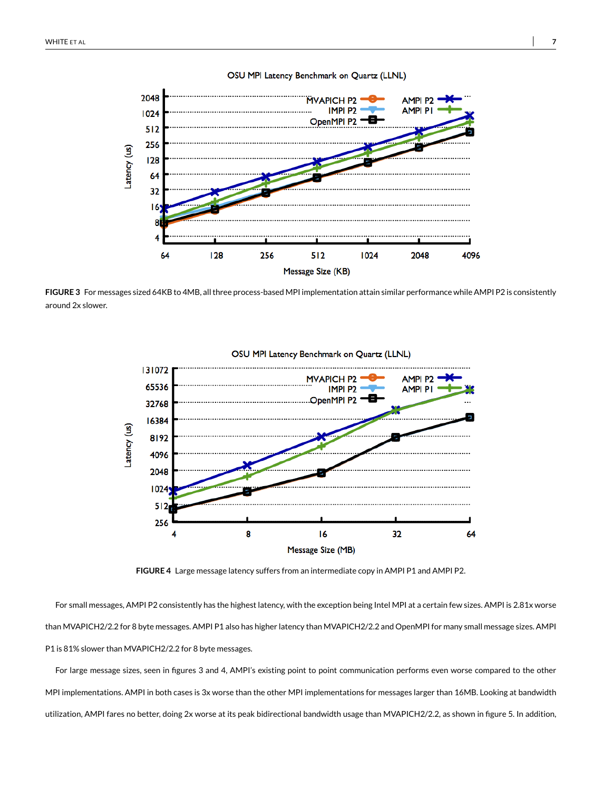

**FIGURE 3** For messages sized 64KB to 4MB, all three process-based MPI implementation attain similar performance while AMPI P2 is consistently around 2x slower.



**FIGURE 4** Large message latency suffers from an intermediate copy in AMPI P1 and AMPI P2.

For small messages, AMPI P2 consistently has the highest latency, with the exception being Intel MPI at a certain few sizes. AMPI is 2.81x worse than MVAPICH2/2.2 for 8 byte messages. AMPI P1 also has higher latency than MVAPICH2/2.2 and OpenMPI for many small message sizes. AMPI P1 is 81% slower than MVAPICH2/2.2 for 8 byte messages.

For large message sizes, seen in figures 3 and 4, AMPI's existing point to point communication performs even worse compared to the other MPI implementations. AMPI in both cases is 3x worse than the other MPI implementations for messages larger than 16MB. Looking at bandwidth utilization, AMPI fares no better, doing 2x worse at its peak bidirectional bandwidth usage than MVAPICH2/2.2, as shown in figure 5. In addition,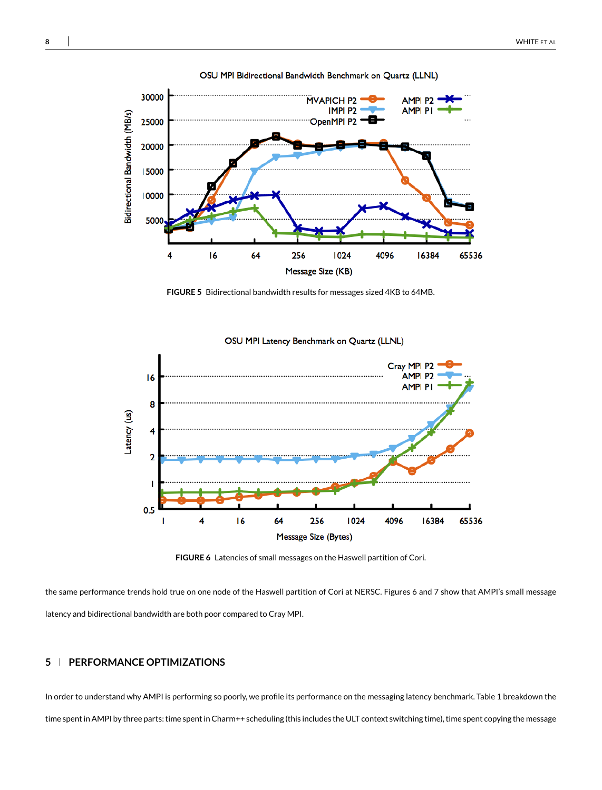

#### OSU MPI Bidirectional Bandwidth Benchmark on Quartz (LLNL)

**FIGURE 5** Bidirectional bandwidth results for messages sized 4KB to 64MB.



#### OSU MPI Latency Benchmark on Quartz (LLNL)

**FIGURE 6** Latencies of small messages on the Haswell partition of Cori.

the same performance trends hold true on one node of the Haswell partition of Cori at NERSC. Figures 6 and 7 show that AMPI's small message latency and bidirectional bandwidth are both poor compared to Cray MPI.

# **5 PERFORMANCE OPTIMIZATIONS**

In order to understand why AMPI is performing so poorly, we profile its performance on the messaging latency benchmark. Table 1 breakdown the time spent in AMPI by three parts: time spent in Charm++ scheduling (this includes the ULT context switching time), time spent copying the message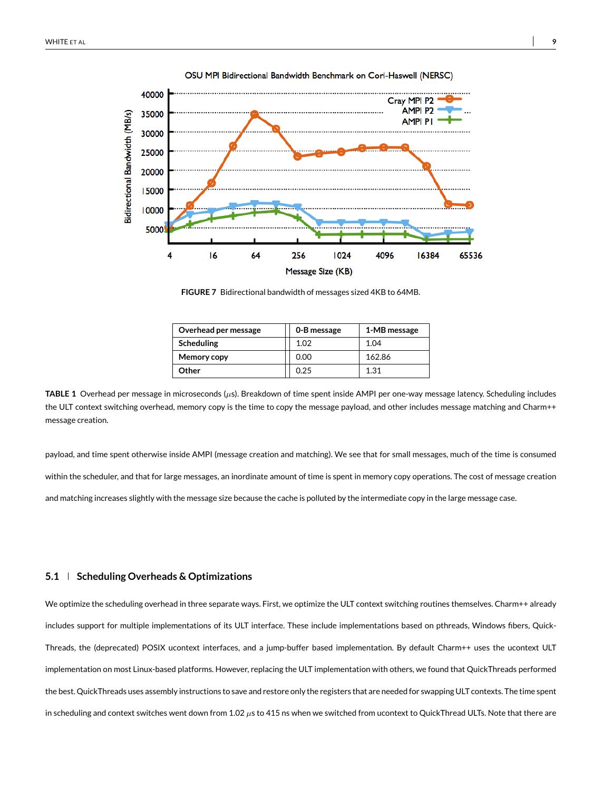

OSU MPI Bidirectional Bandwidth Benchmark on Cori-Haswell (NERSC)

**FIGURE 7** Bidirectional bandwidth of messages sized 4KB to 64MB.

| Overhead per message | 0-B message | 1-MB message |
|----------------------|-------------|--------------|
| <b>Scheduling</b>    | 1.02        | 1.04         |
| Memory copy          | 0.00        | 162.86       |
| Other                | 0.25        | 1.31         |

**TABLE 1** Overhead per message in microseconds (µs). Breakdown of time spent inside AMPI per one-way message latency. Scheduling includes the ULT context switching overhead, memory copy is the time to copy the message payload, and other includes message matching and Charm++ message creation.

payload, and time spent otherwise inside AMPI (message creation and matching). We see that for small messages, much of the time is consumed within the scheduler, and that for large messages, an inordinate amount of time is spent in memory copy operations. The cost of message creation and matching increases slightly with the message size because the cache is polluted by the intermediate copy in the large message case.

#### **5.1 Scheduling Overheads & Optimizations**

We optimize the scheduling overhead in three separate ways. First, we optimize the ULT context switching routines themselves. Charm++ already includes support for multiple implementations of its ULT interface. These include implementations based on pthreads, Windows fibers, Quick-Threads, the (deprecated) POSIX ucontext interfaces, and a jump-buffer based implementation. By default Charm++ uses the ucontext ULT implementation on most Linux-based platforms. However, replacing the ULT implementation with others, we found that QuickThreads performed the best. QuickThreads uses assembly instructions to save and restore only the registers that are needed for swapping ULT contexts. The time spent in scheduling and context switches went down from 1.02  $\mu$ s to 415 ns when we switched from ucontext to QuickThread ULTs. Note that there are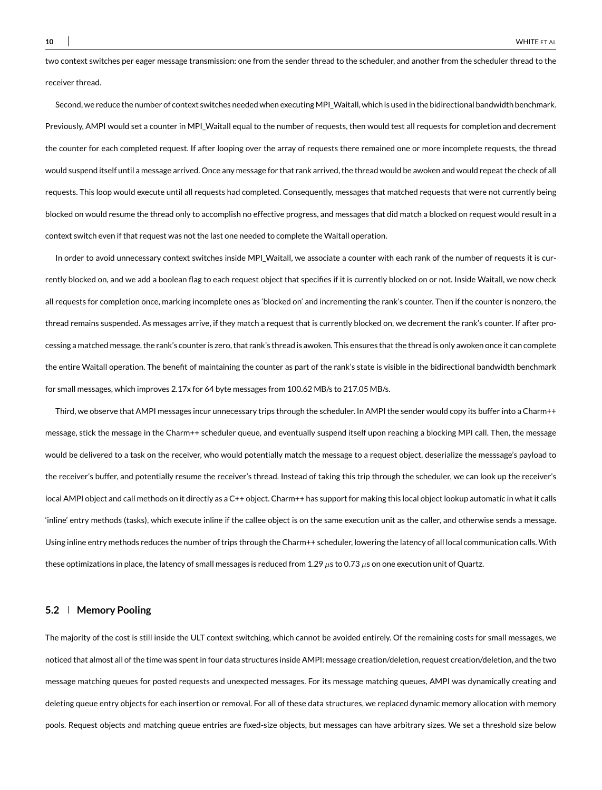two context switches per eager message transmission: one from the sender thread to the scheduler, and another from the scheduler thread to the receiver thread.

Second, we reduce the number of context switches needed when executing MPI\_Waitall, which is used in the bidirectional bandwidth benchmark. Previously, AMPI would set a counter in MPI\_Waitall equal to the number of requests, then would test all requests for completion and decrement the counter for each completed request. If after looping over the array of requests there remained one or more incomplete requests, the thread would suspend itself until a message arrived. Once any message for that rank arrived, the thread would be awoken and would repeat the check of all requests. This loop would execute until all requests had completed. Consequently, messages that matched requests that were not currently being blocked on would resume the thread only to accomplish no effective progress, and messages that did match a blocked on request would result in a context switch even if that request was not the last one needed to complete the Waitall operation.

In order to avoid unnecessary context switches inside MPI\_Waitall, we associate a counter with each rank of the number of requests it is currently blocked on, and we add a boolean flag to each request object that specifies if it is currently blocked on or not. Inside Waitall, we now check all requests for completion once, marking incomplete ones as 'blocked on' and incrementing the rank's counter. Then if the counter is nonzero, the thread remains suspended. As messages arrive, if they match a request that is currently blocked on, we decrement the rank's counter. If after processing a matched message, the rank's counter is zero, that rank's thread is awoken. This ensures that the thread is only awoken once it can complete the entire Waitall operation. The benefit of maintaining the counter as part of the rank's state is visible in the bidirectional bandwidth benchmark for small messages, which improves 2.17x for 64 byte messages from 100.62 MB/s to 217.05 MB/s.

Third, we observe that AMPI messages incur unnecessary trips through the scheduler. In AMPI the sender would copy its buffer into a Charm++ message, stick the message in the Charm++ scheduler queue, and eventually suspend itself upon reaching a blocking MPI call. Then, the message would be delivered to a task on the receiver, who would potentially match the message to a request object, deserialize the messsage's payload to the receiver's buffer, and potentially resume the receiver's thread. Instead of taking this trip through the scheduler, we can look up the receiver's local AMPI object and call methods on it directly as a C++ object. Charm++ has support for making this local object lookup automatic in what it calls 'inline' entry methods (tasks), which execute inline if the callee object is on the same execution unit as the caller, and otherwise sends a message. Using inline entry methods reduces the number of trips through the Charm++ scheduler, lowering the latency of all local communication calls. With these optimizations in place, the latency of small messages is reduced from 1.29  $\mu$ s to 0.73  $\mu$ s on one execution unit of Quartz.

#### **5.2 Memory Pooling**

The majority of the cost is still inside the ULT context switching, which cannot be avoided entirely. Of the remaining costs for small messages, we noticed that almost all of the time was spent in four data structures inside AMPI: message creation/deletion, request creation/deletion, and the two message matching queues for posted requests and unexpected messages. For its message matching queues, AMPI was dynamically creating and deleting queue entry objects for each insertion or removal. For all of these data structures, we replaced dynamic memory allocation with memory pools. Request objects and matching queue entries are fixed-size objects, but messages can have arbitrary sizes. We set a threshold size below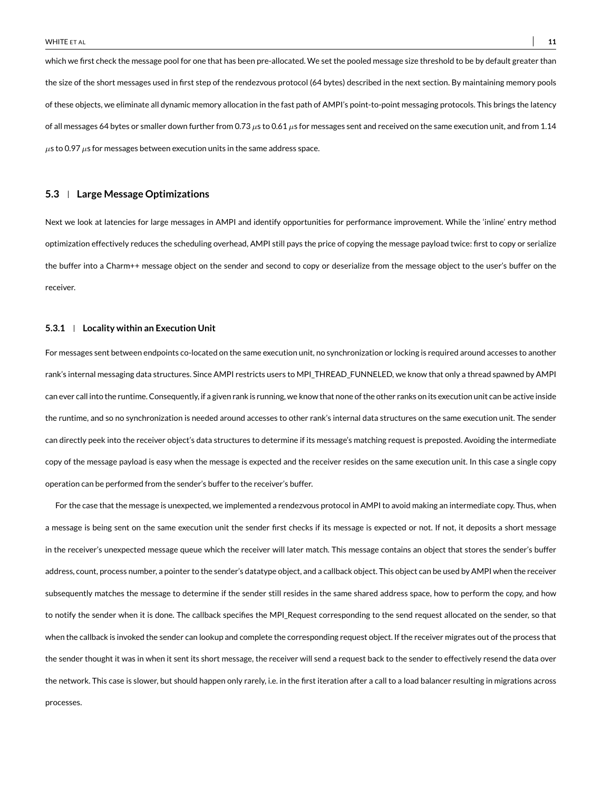which we first check the message pool for one that has been pre-allocated. We set the pooled message size threshold to be by default greater than the size of the short messages used in first step of the rendezvous protocol (64 bytes) described in the next section. By maintaining memory pools of these objects, we eliminate all dynamic memory allocation in the fast path of AMPI's point-to-point messaging protocols. This brings the latency of all messages 64 bytes or smaller down further from 0.73  $\mu$ s to 0.61  $\mu$ s for messages sent and received on the same execution unit, and from 1.14  $\mu$ s to 0.97  $\mu$ s for messages between execution units in the same address space.

#### **5.3 Large Message Optimizations**

Next we look at latencies for large messages in AMPI and identify opportunities for performance improvement. While the 'inline' entry method optimization effectively reduces the scheduling overhead, AMPI still pays the price of copying the message payload twice: first to copy or serialize the buffer into a Charm++ message object on the sender and second to copy or deserialize from the message object to the user's buffer on the receiver.

#### **5.3.1 Locality within an Execution Unit**

For messages sent between endpoints co-located on the same execution unit, no synchronization or locking is required around accesses to another rank's internal messaging data structures. Since AMPI restricts users to MPI\_THREAD\_FUNNELED, we know that only a thread spawned by AMPI can ever call into the runtime. Consequently, if a given rank is running, we know that none of the other ranks on its execution unit can be active inside the runtime, and so no synchronization is needed around accesses to other rank's internal data structures on the same execution unit. The sender can directly peek into the receiver object's data structures to determine if its message's matching request is preposted. Avoiding the intermediate copy of the message payload is easy when the message is expected and the receiver resides on the same execution unit. In this case a single copy operation can be performed from the sender's buffer to the receiver's buffer.

For the case that the message is unexpected, we implemented a rendezvous protocol in AMPI to avoid making an intermediate copy. Thus, when a message is being sent on the same execution unit the sender first checks if its message is expected or not. If not, it deposits a short message in the receiver's unexpected message queue which the receiver will later match. This message contains an object that stores the sender's buffer address, count, process number, a pointer to the sender's datatype object, and a callback object. This object can be used by AMPI when the receiver subsequently matches the message to determine if the sender still resides in the same shared address space, how to perform the copy, and how to notify the sender when it is done. The callback specifies the MPI\_Request corresponding to the send request allocated on the sender, so that when the callback is invoked the sender can lookup and complete the corresponding request object. If the receiver migrates out of the process that the sender thought it was in when it sent its short message, the receiver will send a request back to the sender to effectively resend the data over the network. This case is slower, but should happen only rarely, i.e. in the first iteration after a call to a load balancer resulting in migrations across processes.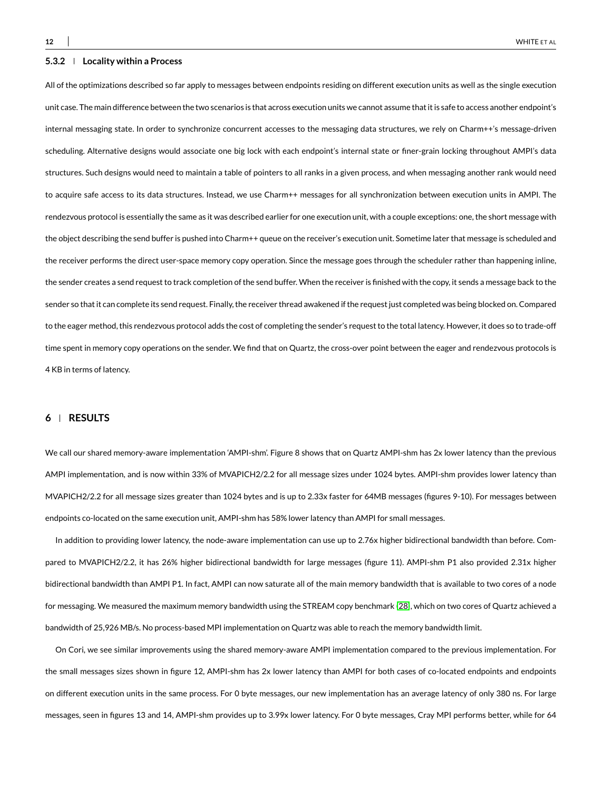#### **5.3.2 Locality within a Process**

All of the optimizations described so far apply to messages between endpoints residing on different execution units as well as the single execution unit case. The main difference between the two scenarios is that across execution units we cannot assume that it is safe to access another endpoint's internal messaging state. In order to synchronize concurrent accesses to the messaging data structures, we rely on Charm++'s message-driven scheduling. Alternative designs would associate one big lock with each endpoint's internal state or finer-grain locking throughout AMPI's data structures. Such designs would need to maintain a table of pointers to all ranks in a given process, and when messaging another rank would need to acquire safe access to its data structures. Instead, we use Charm++ messages for all synchronization between execution units in AMPI. The rendezvous protocol is essentially the same as it was described earlier for one execution unit, with a couple exceptions: one, the short message with the object describing the send buffer is pushed into Charm++ queue on the receiver's execution unit. Sometime later that message is scheduled and the receiver performs the direct user-space memory copy operation. Since the message goes through the scheduler rather than happening inline, the sender creates a send request to track completion of the send buffer. When the receiver is finished with the copy, it sends a message back to the sender so that it can complete its send request. Finally, the receiver thread awakened if the request just completed was being blocked on. Compared to the eager method, this rendezvous protocol adds the cost of completing the sender's request to the total latency. However, it does so to trade-off time spent in memory copy operations on the sender. We find that on Quartz, the cross-over point between the eager and rendezvous protocols is 4 KB in terms of latency.

#### **6 RESULTS**

We call our shared memory-aware implementation 'AMPI-shm'. Figure 8 shows that on Quartz AMPI-shm has 2x lower latency than the previous AMPI implementation, and is now within 33% of MVAPICH2/2.2 for all message sizes under 1024 bytes. AMPI-shm provides lower latency than MVAPICH2/2.2 for all message sizes greater than 1024 bytes and is up to 2.33x faster for 64MB messages (figures 9-10). For messages between endpoints co-located on the same execution unit, AMPI-shm has 58% lower latency than AMPI for small messages.

In addition to providing lower latency, the node-aware implementation can use up to 2.76x higher bidirectional bandwidth than before. Compared to MVAPICH2/2.2, it has 26% higher bidirectional bandwidth for large messages (figure 11). AMPI-shm P1 also provided 2.31x higher bidirectional bandwidth than AMPI P1. In fact, AMPI can now saturate all of the main memory bandwidth that is available to two cores of a node for messaging. We measured the maximum memory bandwidth using the STREAM copy benchmark [\(28\)](#page-18-8), which on two cores of Quartz achieved a bandwidth of 25,926 MB/s. No process-based MPI implementation on Quartz was able to reach the memory bandwidth limit.

On Cori, we see similar improvements using the shared memory-aware AMPI implementation compared to the previous implementation. For the small messages sizes shown in figure 12, AMPI-shm has 2x lower latency than AMPI for both cases of co-located endpoints and endpoints on different execution units in the same process. For 0 byte messages, our new implementation has an average latency of only 380 ns. For large messages, seen in figures 13 and 14, AMPI-shm provides up to 3.99x lower latency. For 0 byte messages, Cray MPI performs better, while for 64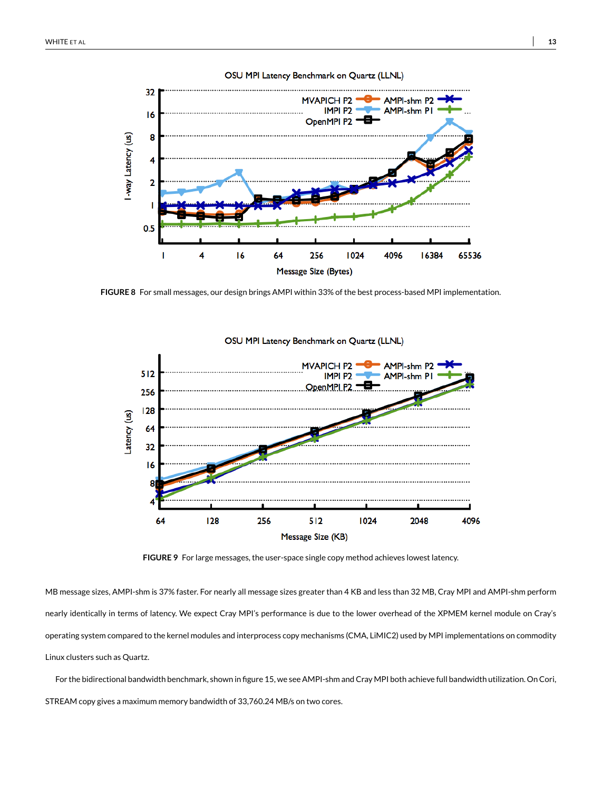

**FIGURE 8** For small messages, our design brings AMPI within 33% of the best process-based MPI implementation.



OSU MPI Latency Benchmark on Quartz (LLNL)

**FIGURE 9** For large messages, the user-space single copy method achieves lowest latency.

MB message sizes, AMPI-shm is 37% faster. For nearly all message sizes greater than 4 KB and less than 32 MB, Cray MPI and AMPI-shm perform nearly identically in terms of latency. We expect Cray MPI's performance is due to the lower overhead of the XPMEM kernel module on Cray's operating system compared to the kernel modules and interprocess copy mechanisms (CMA, LiMIC2) used by MPI implementations on commodity Linux clusters such as Quartz.

For the bidirectional bandwidth benchmark, shown in figure 15, we see AMPI-shm and Cray MPI both achieve full bandwidth utilization. On Cori, STREAM copy gives a maximum memory bandwidth of 33,760.24 MB/s on two cores.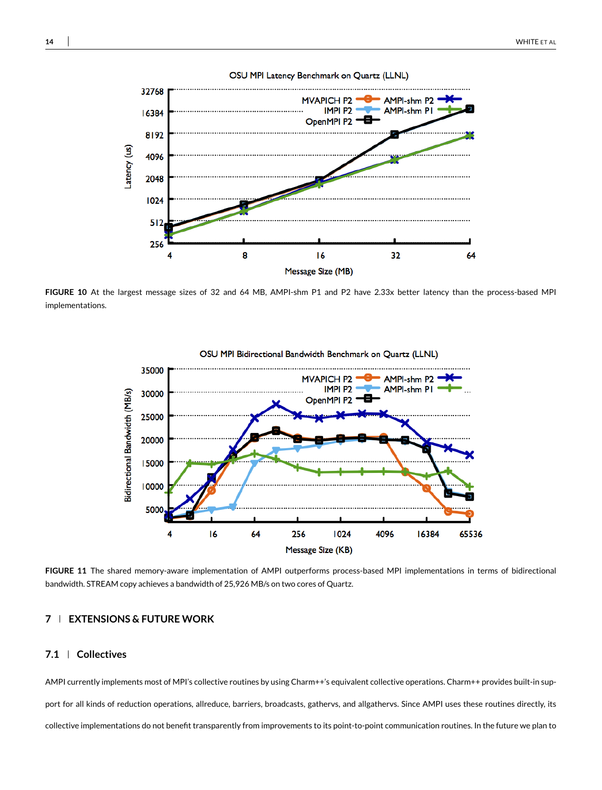

**FIGURE 10** At the largest message sizes of 32 and 64 MB, AMPI-shm P1 and P2 have 2.33x better latency than the process-based MPI implementations.



**FIGURE 11** The shared memory-aware implementation of AMPI outperforms process-based MPI implementations in terms of bidirectional bandwidth. STREAM copy achieves a bandwidth of 25,926 MB/s on two cores of Quartz.

### **7 EXTENSIONS & FUTURE WORK**

# **7.1 Collectives**

AMPI currently implements most of MPI's collective routines by using Charm++'s equivalent collective operations. Charm++ provides built-in support for all kinds of reduction operations, allreduce, barriers, broadcasts, gathervs, and allgathervs. Since AMPI uses these routines directly, its collective implementations do not benefit transparently from improvements to its point-to-point communication routines. In the future we plan to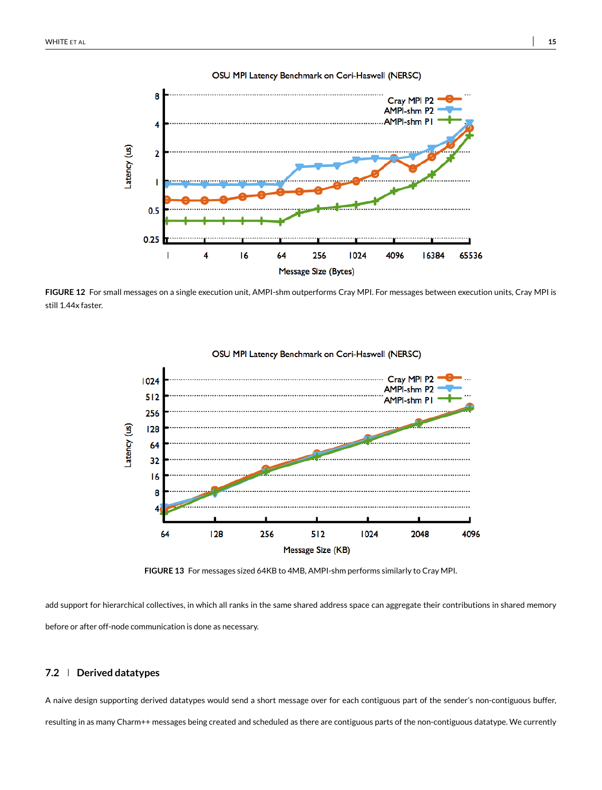

#### OSU MPI Latency Benchmark on Cori-Haswell (NERSC)

**FIGURE 12** For small messages on a single execution unit, AMPI-shm outperforms Cray MPI. For messages between execution units, Cray MPI is still 1.44x faster.



OSU MPI Latency Benchmark on Cori-Haswell (NERSC)

**FIGURE 13** For messages sized 64KB to 4MB, AMPI-shm performs similarly to Cray MPI.

add support for hierarchical collectives, in which all ranks in the same shared address space can aggregate their contributions in shared memory before or after off-node communication is done as necessary.

# **7.2 Derived datatypes**

A naive design supporting derived datatypes would send a short message over for each contiguous part of the sender's non-contiguous buffer, resulting in as many Charm++ messages being created and scheduled as there are contiguous parts of the non-contiguous datatype. We currently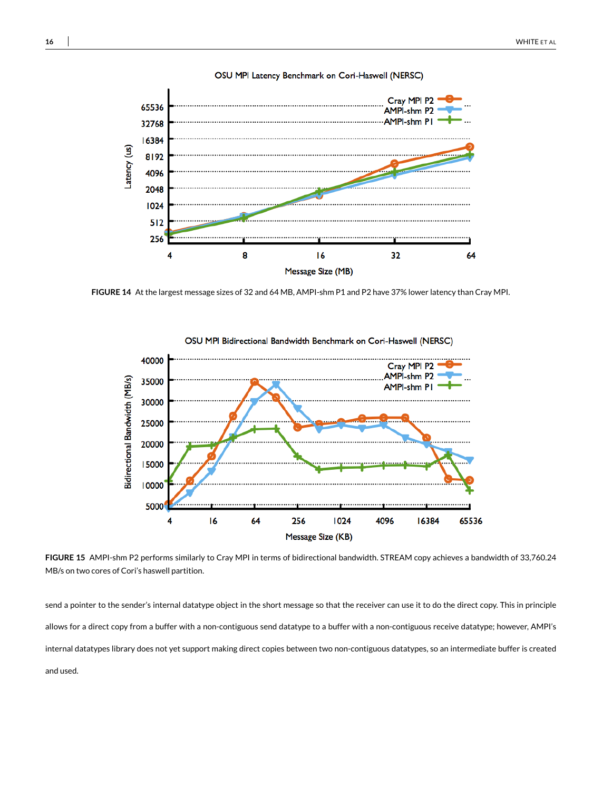

#### OSU MPI Latency Benchmark on Cori-Haswell (NERSC)

**FIGURE 14** At the largest message sizes of 32 and 64 MB, AMPI-shm P1 and P2 have 37% lower latency than Cray MPI.



OSU MPI Bidirectional Bandwidth Benchmark on Cori-Haswell (NERSC)

**FIGURE 15** AMPI-shm P2 performs similarly to Cray MPI in terms of bidirectional bandwidth. STREAM copy achieves a bandwidth of 33,760.24 MB/s on two cores of Cori's haswell partition.

send a pointer to the sender's internal datatype object in the short message so that the receiver can use it to do the direct copy. This in principle allows for a direct copy from a buffer with a non-contiguous send datatype to a buffer with a non-contiguous receive datatype; however, AMPI's internal datatypes library does not yet support making direct copies between two non-contiguous datatypes, so an intermediate buffer is created and used.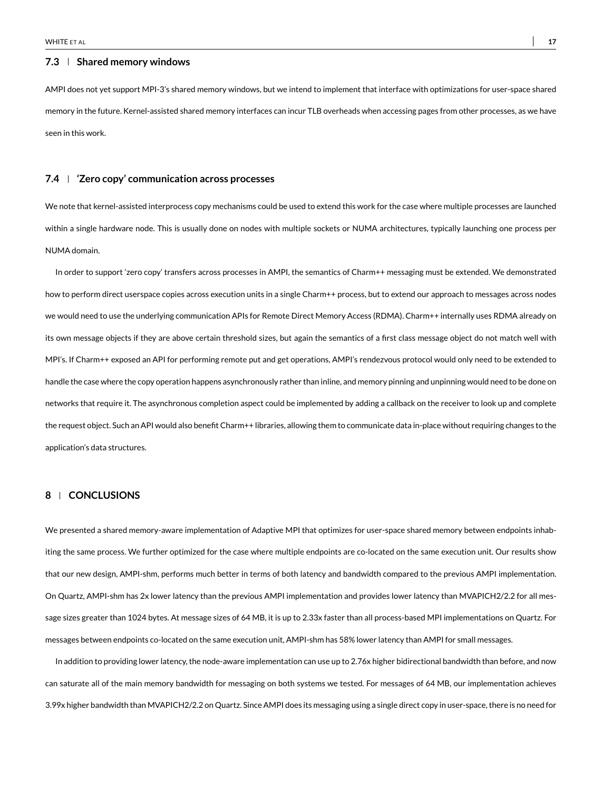#### **7.3 Shared memory windows**

AMPI does not yet support MPI-3's shared memory windows, but we intend to implement that interface with optimizations for user-space shared memory in the future. Kernel-assisted shared memory interfaces can incur TLB overheads when accessing pages from other processes, as we have seen in this work.

#### **7.4 'Zero copy' communication across processes**

We note that kernel-assisted interprocess copy mechanisms could be used to extend this work for the case where multiple processes are launched within a single hardware node. This is usually done on nodes with multiple sockets or NUMA architectures, typically launching one process per NUMA domain.

In order to support 'zero copy' transfers across processes in AMPI, the semantics of Charm++ messaging must be extended. We demonstrated how to perform direct userspace copies across execution units in a single Charm++ process, but to extend our approach to messages across nodes we would need to use the underlying communication APIs for Remote Direct Memory Access (RDMA). Charm++ internally uses RDMA already on its own message objects if they are above certain threshold sizes, but again the semantics of a first class message object do not match well with MPI's. If Charm++ exposed an API for performing remote put and get operations, AMPI's rendezvous protocol would only need to be extended to handle the case where the copy operation happens asynchronously rather than inline, and memory pinning and unpinning would need to be done on networks that require it. The asynchronous completion aspect could be implemented by adding a callback on the receiver to look up and complete the request object. Such an API would also benefit Charm++ libraries, allowing them to communicate data in-place without requiring changes to the application's data structures.

#### **8 CONCLUSIONS**

We presented a shared memory-aware implementation of Adaptive MPI that optimizes for user-space shared memory between endpoints inhabiting the same process. We further optimized for the case where multiple endpoints are co-located on the same execution unit. Our results show that our new design, AMPI-shm, performs much better in terms of both latency and bandwidth compared to the previous AMPI implementation. On Quartz, AMPI-shm has 2x lower latency than the previous AMPI implementation and provides lower latency than MVAPICH2/2.2 for all message sizes greater than 1024 bytes. At message sizes of 64 MB, it is up to 2.33x faster than all process-based MPI implementations on Quartz. For messages between endpoints co-located on the same execution unit, AMPI-shm has 58% lower latency than AMPI for small messages.

In addition to providing lower latency, the node-aware implementation can use up to 2.76x higher bidirectional bandwidth than before, and now can saturate all of the main memory bandwidth for messaging on both systems we tested. For messages of 64 MB, our implementation achieves 3.99x higher bandwidth than MVAPICH2/2.2 on Quartz. Since AMPI does its messaging using a single direct copy in user-space, there is no need for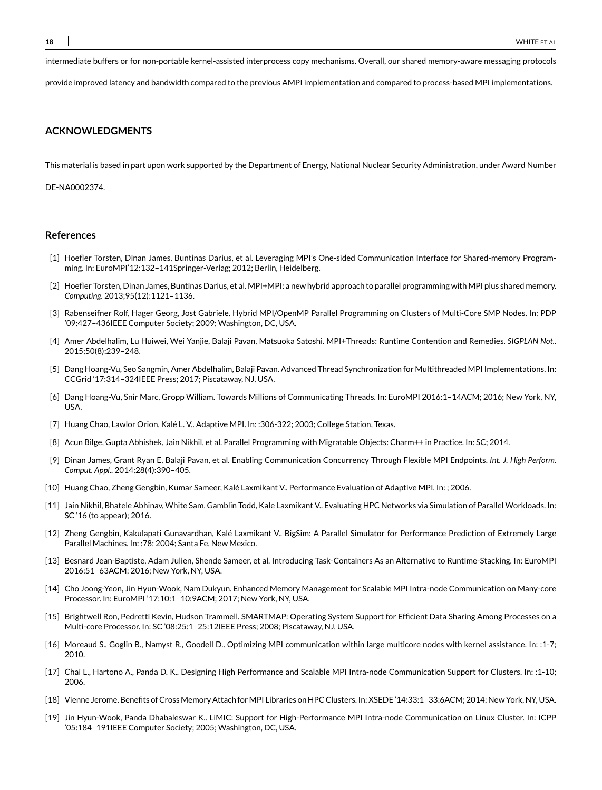intermediate buffers or for non-portable kernel-assisted interprocess copy mechanisms. Overall, our shared memory-aware messaging protocols

provide improved latency and bandwidth compared to the previous AMPI implementation and compared to process-based MPI implementations.

# **ACKNOWLEDGMENTS**

This material is based in part upon work supported by the Department of Energy, National Nuclear Security Administration, under Award Number

DE-NA0002374.

#### **References**

- <span id="page-17-0"></span>[1] Hoefler Torsten, Dinan James, Buntinas Darius, et al. Leveraging MPI's One-sided Communication Interface for Shared-memory Programming. In: EuroMPI'12:132–141Springer-Verlag; 2012; Berlin, Heidelberg.
- <span id="page-17-1"></span>[2] Hoefler Torsten, Dinan James, Buntinas Darius, et al. MPI+MPI: a new hybrid approach to parallel programming with MPI plus shared memory. *Computing.* 2013;95(12):1121–1136.
- <span id="page-17-2"></span>[3] Rabenseifner Rolf, Hager Georg, Jost Gabriele. Hybrid MPI/OpenMP Parallel Programming on Clusters of Multi-Core SMP Nodes. In: PDP '09:427–436IEEE Computer Society; 2009; Washington, DC, USA.
- <span id="page-17-3"></span>[4] Amer Abdelhalim, Lu Huiwei, Wei Yanjie, Balaji Pavan, Matsuoka Satoshi. MPI+Threads: Runtime Contention and Remedies. *SIGPLAN Not..* 2015;50(8):239–248.
- <span id="page-17-4"></span>[5] Dang Hoang-Vu, Seo Sangmin, Amer Abdelhalim, Balaji Pavan. Advanced Thread Synchronization for Multithreaded MPI Implementations. In: CCGrid '17:314–324IEEE Press; 2017; Piscataway, NJ, USA.
- <span id="page-17-5"></span>[6] Dang Hoang-Vu, Snir Marc, Gropp William. Towards Millions of Communicating Threads. In: EuroMPI 2016:1–14ACM; 2016; New York, NY, USA.
- <span id="page-17-6"></span>[7] Huang Chao, Lawlor Orion, Kalé L. V.. Adaptive MPI. In: :306-322; 2003; College Station, Texas.
- <span id="page-17-7"></span>[8] Acun Bilge, Gupta Abhishek, Jain Nikhil, et al. Parallel Programming with Migratable Objects: Charm++ in Practice. In: SC; 2014.
- <span id="page-17-8"></span>[9] Dinan James, Grant Ryan E, Balaji Pavan, et al. Enabling Communication Concurrency Through Flexible MPI Endpoints. *Int. J. High Perform. Comput. Appl..* 2014;28(4):390–405.
- <span id="page-17-9"></span>[10] Huang Chao, Zheng Gengbin, Kumar Sameer, Kalé Laxmikant V.. Performance Evaluation of Adaptive MPI. In: ; 2006.
- <span id="page-17-10"></span>[11] Jain Nikhil, Bhatele Abhinav, White Sam, Gamblin Todd, Kale Laxmikant V.. Evaluating HPC Networks via Simulation of Parallel Workloads. In: SC '16 (to appear); 2016.
- <span id="page-17-11"></span>[12] Zheng Gengbin, Kakulapati Gunavardhan, Kalé Laxmikant V.. BigSim: A Parallel Simulator for Performance Prediction of Extremely Large Parallel Machines. In: :78; 2004; Santa Fe, New Mexico.
- <span id="page-17-12"></span>[13] Besnard Jean-Baptiste, Adam Julien, Shende Sameer, et al. Introducing Task-Containers As an Alternative to Runtime-Stacking. In: EuroMPI 2016:51–63ACM; 2016; New York, NY, USA.
- <span id="page-17-13"></span>[14] Cho Joong-Yeon, Jin Hyun-Wook, Nam Dukyun. Enhanced Memory Management for Scalable MPI Intra-node Communication on Many-core Processor. In: EuroMPI '17:10:1–10:9ACM; 2017; New York, NY, USA.
- <span id="page-17-14"></span>[15] Brightwell Ron, Pedretti Kevin, Hudson Trammell. SMARTMAP: Operating System Support for Efficient Data Sharing Among Processes on a Multi-core Processor. In: SC '08:25:1–25:12IEEE Press; 2008; Piscataway, NJ, USA.
- <span id="page-17-15"></span>[16] Moreaud S., Goglin B., Namyst R., Goodell D.. Optimizing MPI communication within large multicore nodes with kernel assistance. In: :1-7; 2010.
- <span id="page-17-16"></span>[17] Chai L., Hartono A., Panda D. K.. Designing High Performance and Scalable MPI Intra-node Communication Support for Clusters. In: :1-10; 2006.
- <span id="page-17-17"></span>[18] Vienne Jerome. Benefits of Cross Memory Attach for MPI Libraries on HPC Clusters. In: XSEDE '14:33:1–33:6ACM; 2014; New York, NY, USA.
- <span id="page-17-18"></span>[19] Jin Hyun-Wook, Panda Dhabaleswar K.. LiMIC: Support for High-Performance MPI Intra-node Communication on Linux Cluster. In: ICPP '05:184–191IEEE Computer Society; 2005; Washington, DC, USA.